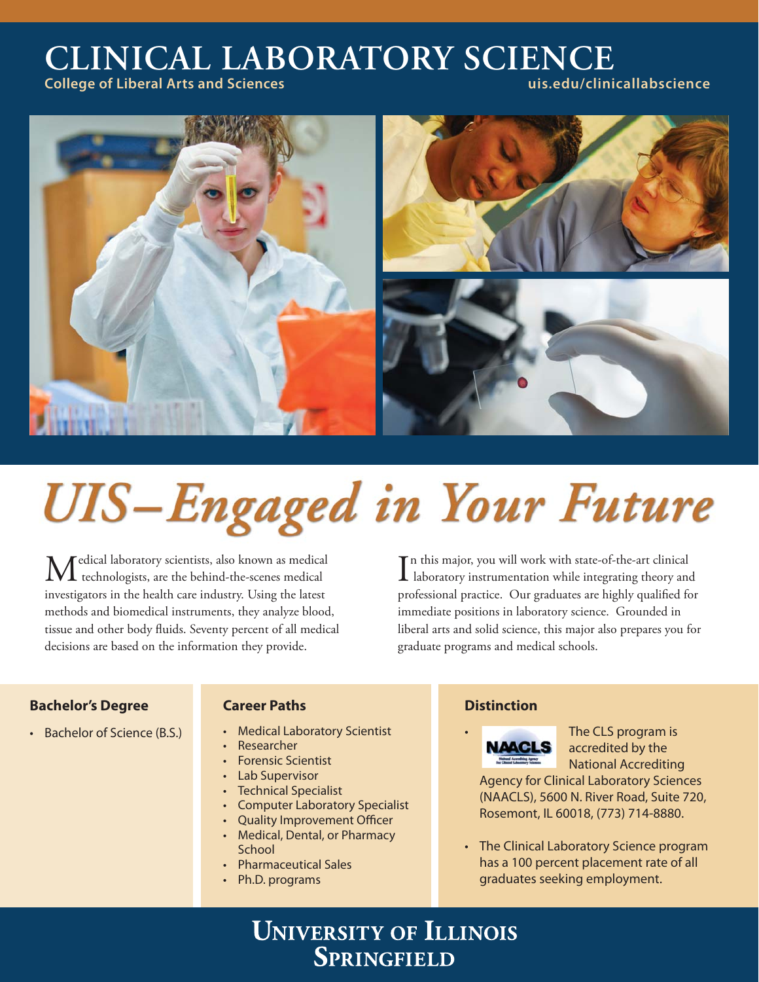## **CLINICAL LABORATORY SCIENCE**

**College of Liberal Arts and Sciences uis.edu/clinicallabscience**



# **UIS-Engaged in Your Future**

**M**edical laboratory scientists, also known as medical technologists, are the behind-the-scenes medical investigators in the health care industry. Using the latest methods and biomedical instruments, they analyze blood, tissue and other body fluids. Seventy percent of all medical decisions are based on the information they provide.

In this major, you will work with state-of-the-art clinical<br>laboratory instrumentation while integrating theory and n this major, you will work with state-of-the-art clinical professional practice. Our graduates are highly qualified for immediate positions in laboratory science. Grounded in liberal arts and solid science, this major also prepares you for graduate programs and medical schools.

#### **Bachelor's Degree**

• Bachelor of Science (B.S.)

#### **Career Paths**

- Medical Laboratory Scientist
- Researcher
- Forensic Scientist
- Lab Supervisor
- Technical Specialist
- Computer Laboratory Specialist
- Quality Improvement Officer
- Medical, Dental, or Pharmacy **School**
- Pharmaceutical Sales
- Ph.D. programs

#### **Distinction**



• The CLS program is accredited by the National Accrediting

Agency for Clinical Laboratory Sciences (NAACLS), 5600 N. River Road, Suite 720, Rosemont, IL 60018, (773) 714-8880.

• The Clinical Laboratory Science program has a 100 percent placement rate of all graduates seeking employment.

### **UNIVERSITY OF ILLINOIS SPRINGFIELD**